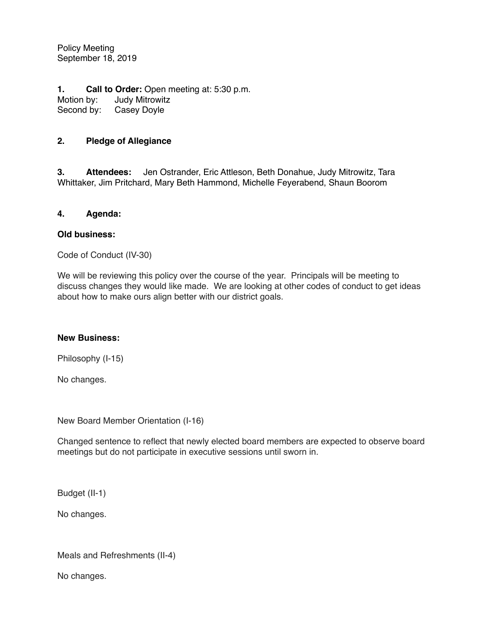Policy Meeting September 18, 2019

**1. Call to Order:** Open meeting at: 5:30 p.m. Motion by: Judy Mitrowitz<br>Second by: Casey Doyle Casey Doyle

## **2. Pledge of Allegiance**

**3. Attendees:** Jen Ostrander, Eric Attleson, Beth Donahue, Judy Mitrowitz, Tara Whittaker, Jim Pritchard, Mary Beth Hammond, Michelle Feyerabend, Shaun Boorom

#### **4. Agenda:**

#### **Old business:**

Code of Conduct (IV-30)

We will be reviewing this policy over the course of the year. Principals will be meeting to discuss changes they would like made. We are looking at other codes of conduct to get ideas about how to make ours align better with our district goals.

### **New Business:**

Philosophy (I-15)

No changes.

New Board Member Orientation (I-16)

Changed sentence to reflect that newly elected board members are expected to observe board meetings but do not participate in executive sessions until sworn in.

Budget (II-1)

No changes.

Meals and Refreshments (II-4)

No changes.